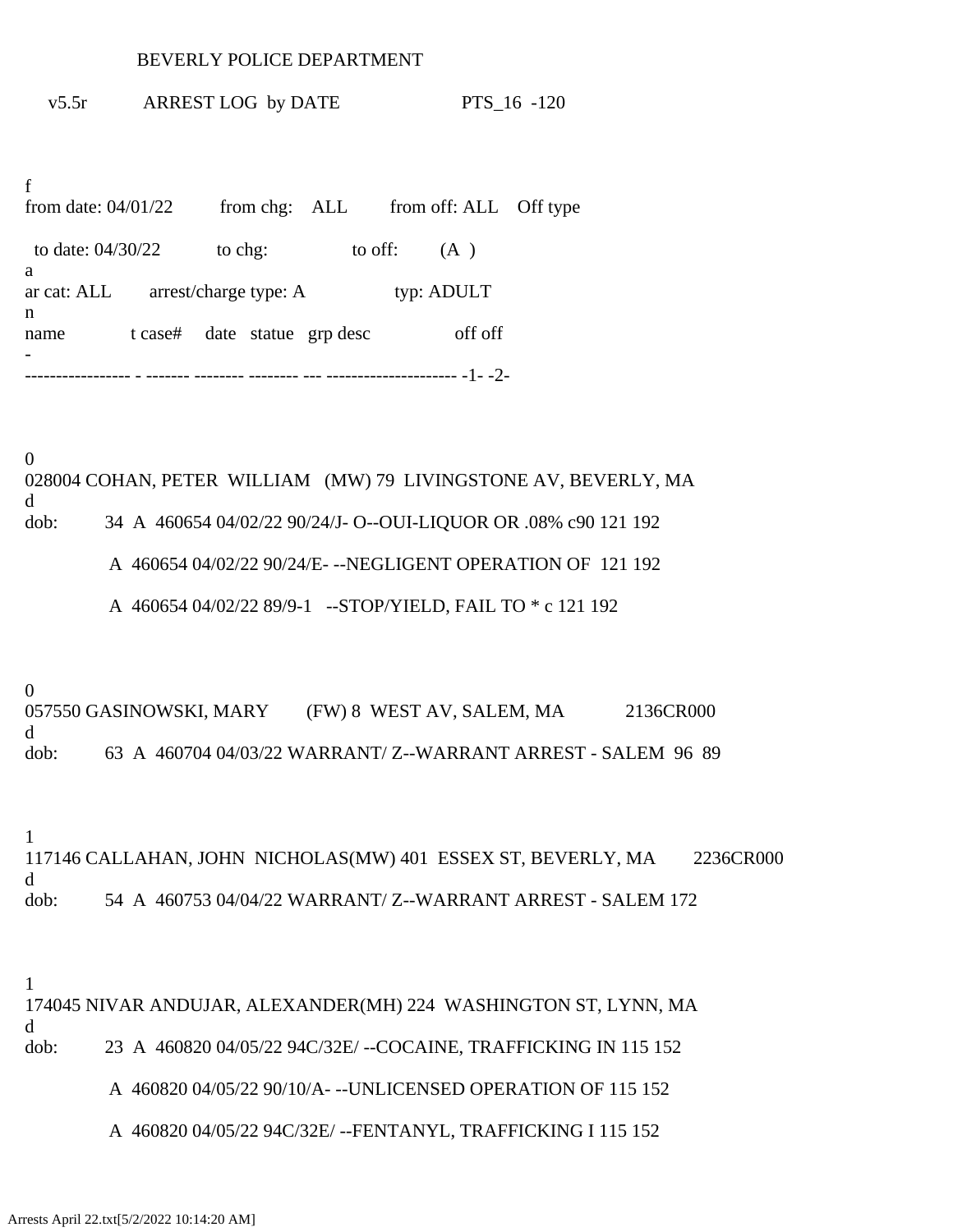## BEVERLY POLICE DEPARTMENT

v5.5r ARREST LOG by DATE PTS\_16 -120

f from date: 04/01/22 from chg: ALL from off: ALL Off type to date:  $04/30/22$  to chg: to off: (A) a ar cat: ALL arrest/charge type: A typ: ADULT n name t case# date statue grp desc off off - ----------------- - ------- -------- -------- --- --------------------- -1- -2-

0 028004 COHAN, PETER WILLIAM (MW) 79 LIVINGSTONE AV, BEVERLY, MA d dob: 34 A 460654 04/02/22 90/24/J- O--OUI-LIQUOR OR .08% c90 121 192

A 460654 04/02/22 90/24/E- --NEGLIGENT OPERATION OF 121 192

A 460654 04/02/22 89/9-1 --STOP/YIELD, FAIL TO \* c 121 192

0

057550 GASINOWSKI, MARY (FW) 8 WEST AV, SALEM, MA 2136CR000 d dob: 63 A 460704 04/03/22 WARRANT/ Z--WARRANT ARREST - SALEM 96 89

1

117146 CALLAHAN, JOHN NICHOLAS(MW) 401 ESSEX ST, BEVERLY, MA 2236CR000 d dob: 54 A 460753 04/04/22 WARRANT/ Z--WARRANT ARREST - SALEM 172

1

174045 NIVAR ANDUJAR, ALEXANDER(MH) 224 WASHINGTON ST, LYNN, MA d dob: 23 A 460820 04/05/22 94C/32E/ --COCAINE, TRAFFICKING IN 115 152

A 460820 04/05/22 90/10/A- --UNLICENSED OPERATION OF 115 152

A 460820 04/05/22 94C/32E/ --FENTANYL, TRAFFICKING I 115 152